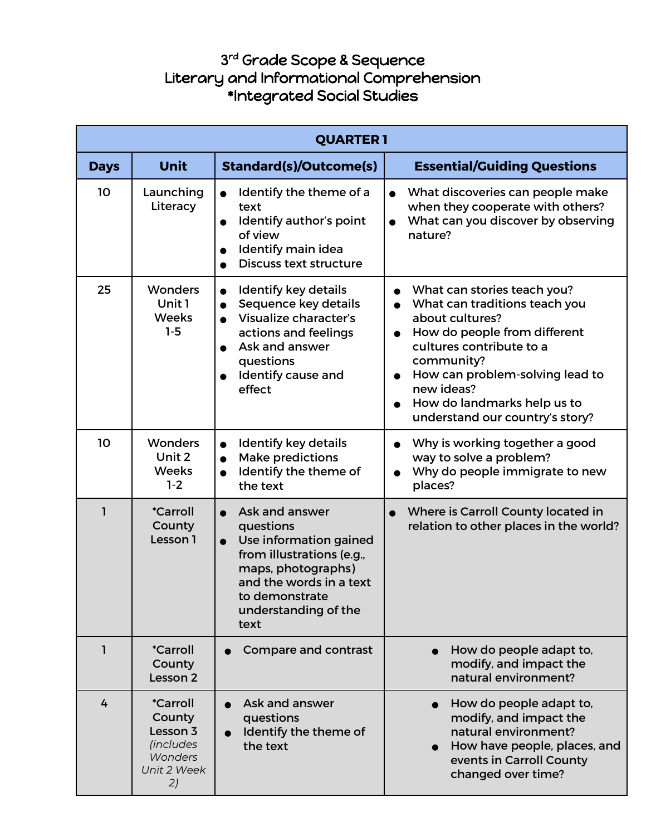## 3 rd Grade Scope & Sequence Literary and Informational Comprehension \*Integrated Social Studies

| <b>QUARTER 1</b> |                                                                                                  |                                                                                                                                                                                                                 |                                                                                                                                                                                                                                                                                                                                  |
|------------------|--------------------------------------------------------------------------------------------------|-----------------------------------------------------------------------------------------------------------------------------------------------------------------------------------------------------------------|----------------------------------------------------------------------------------------------------------------------------------------------------------------------------------------------------------------------------------------------------------------------------------------------------------------------------------|
| <b>Days</b>      | <b>Unit</b>                                                                                      | <b>Standard(s)/Outcome(s)</b>                                                                                                                                                                                   | <b>Essential/Guiding Questions</b>                                                                                                                                                                                                                                                                                               |
| 10               | Launching<br>Literacy                                                                            | Identify the theme of a<br>text<br>Identify author's point<br>of view<br>Identify main idea<br><b>Discuss text structure</b>                                                                                    | What discoveries can people make<br>when they cooperate with others?<br>What can you discover by observing<br>nature?                                                                                                                                                                                                            |
| 25               | <b>Wonders</b><br>Unit 1<br><b>Weeks</b><br>$1-5$                                                | Identify key details<br>Sequence key details<br>Visualize character's<br>$\bullet$<br>actions and feelings<br>Ask and answer<br>questions<br>Identify cause and<br>effect                                       | What can stories teach you?<br>$\bullet$<br>What can traditions teach you<br>about cultures?<br>How do people from different<br>$\bullet$<br>cultures contribute to a<br>community?<br>How can problem-solving lead to<br>$\bullet$<br>new ideas?<br>How do landmarks help us to<br>$\bullet$<br>understand our country's story? |
| 10               | <b>Wonders</b><br>Unit 2<br><b>Weeks</b><br>$1-2$                                                | <b>Identify key details</b><br><b>Make predictions</b><br>$\bullet$<br>Identify the theme of<br>$\bullet$<br>the text                                                                                           | Why is working together a good<br>$\bullet$<br>way to solve a problem?<br>Why do people immigrate to new<br>$\bullet$<br>places?                                                                                                                                                                                                 |
| ı                | <i><b>*Carroll</b></i><br>County<br>Lesson 1                                                     | Ask and answer<br>$\bullet$<br>questions<br>Use information gained<br>$\bullet$<br>from illustrations (e.g.,<br>maps, photographs)<br>and the words in a text<br>to demonstrate<br>understanding of the<br>text | Where is Carroll County located in<br>relation to other places in the world?                                                                                                                                                                                                                                                     |
| ı                | <i><b>*Carroll</b></i><br>County<br>Lesson 2                                                     | Compare and contrast                                                                                                                                                                                            | How do people adapt to,<br>modify, and impact the<br>natural environment?                                                                                                                                                                                                                                                        |
| 4                | <i><b>*Carroll</b></i><br>County<br>Lesson 3<br><i>(includes</i><br>Wonders<br>Unit 2 Week<br>2) | Ask and answer<br>questions<br>Identify the theme of<br>$\bullet$<br>the text                                                                                                                                   | How do people adapt to,<br>modify, and impact the<br>natural environment?<br>How have people, places, and<br>events in Carroll County<br>changed over time?                                                                                                                                                                      |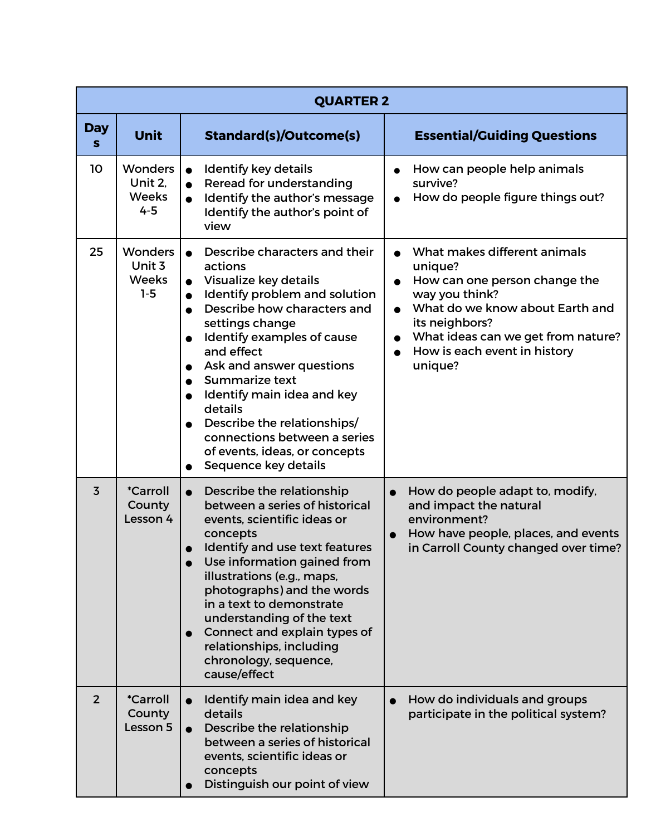|                 |                                                      | <b>QUARTER 2</b>                                                                                                                                                                                                                                                                                                                                                                                                                          |                                                                                                                                                                                                                                               |
|-----------------|------------------------------------------------------|-------------------------------------------------------------------------------------------------------------------------------------------------------------------------------------------------------------------------------------------------------------------------------------------------------------------------------------------------------------------------------------------------------------------------------------------|-----------------------------------------------------------------------------------------------------------------------------------------------------------------------------------------------------------------------------------------------|
| <b>Day</b><br>S | <b>Unit</b>                                          | <b>Standard(s)/Outcome(s)</b>                                                                                                                                                                                                                                                                                                                                                                                                             | <b>Essential/Guiding Questions</b>                                                                                                                                                                                                            |
| 10              | <b>Wonders</b><br>Unit 2,<br><b>Weeks</b><br>$4 - 5$ | Identify key details<br>$\bullet$<br>Reread for understanding<br>$\bullet$<br>Identify the author's message<br>Identify the author's point of<br>view                                                                                                                                                                                                                                                                                     | How can people help animals<br>survive?<br>How do people figure things out?                                                                                                                                                                   |
| 25              | <b>Wonders</b><br>Unit 3<br><b>Weeks</b><br>$1-5$    | Describe characters and their<br>actions<br>Visualize key details<br>Identify problem and solution<br>$\bullet$<br>Describe how characters and<br>settings change<br>Identify examples of cause<br>and effect<br>Ask and answer questions<br>Summarize text<br>Identify main idea and key<br>details<br>Describe the relationships/<br>connections between a series<br>of events, ideas, or concepts<br>Sequence key details<br>$\bullet$ | What makes different animals<br>unique?<br>How can one person change the<br>way you think?<br>What do we know about Earth and<br>its neighbors?<br>What ideas can we get from nature?<br>How is each event in history<br>$\bullet$<br>unique? |
| $\overline{3}$  | <i><b>*Carroll</b></i><br>County<br>Lesson 4         | Describe the relationship<br>$\bullet$<br>between a series of historical<br>events, scientific ideas or<br>concepts<br>Identify and use text features<br>Use information gained from<br>illustrations (e.g., maps,<br>photographs) and the words<br>in a text to demonstrate<br>understanding of the text<br>Connect and explain types of<br>relationships, including<br>chronology, sequence,<br>cause/effect                            | How do people adapt to, modify,<br>$\bullet$<br>and impact the natural<br>environment?<br>How have people, places, and events<br>in Carroll County changed over time?                                                                         |
| $\overline{2}$  | <i><b>*Carroll</b></i><br>County<br>Lesson 5         | Identify main idea and key<br>$\bullet$<br>details<br>Describe the relationship<br>between a series of historical<br>events, scientific ideas or<br>concepts<br>Distinguish our point of view                                                                                                                                                                                                                                             | How do individuals and groups<br>$\bullet$<br>participate in the political system?                                                                                                                                                            |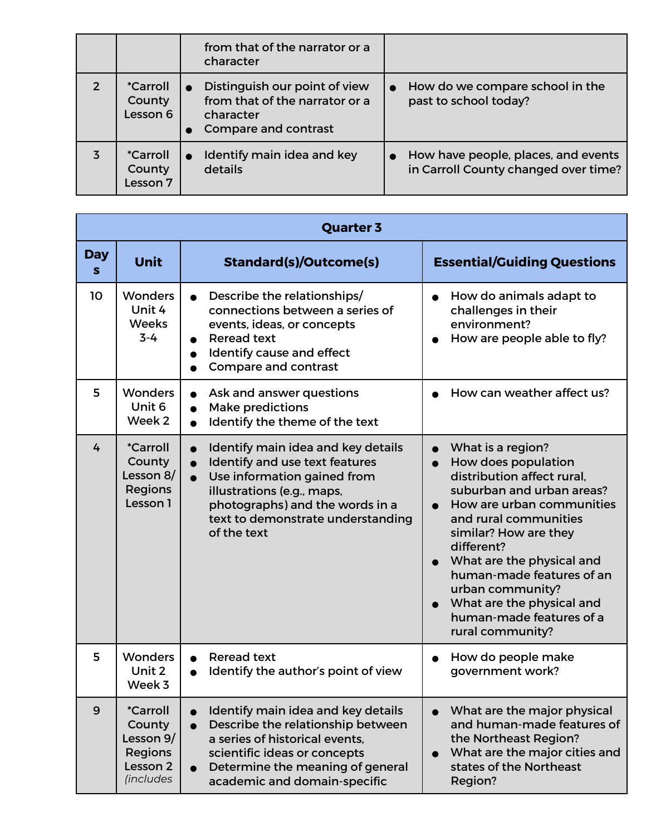|   |                                              | from that of the narrator or a<br>character                                                          |                                                                             |
|---|----------------------------------------------|------------------------------------------------------------------------------------------------------|-----------------------------------------------------------------------------|
| 2 | <i><b>*Carroll</b></i><br>County<br>Lesson 6 | Distinguish our point of view<br>from that of the narrator or a<br>character<br>Compare and contrast | How do we compare school in the<br>past to school today?                    |
| 3 | <i>*Carroll</i><br>County<br>Lesson 7        | Identify main idea and key<br>details                                                                | How have people, places, and events<br>in Carroll County changed over time? |

|                 |                                                                                                     | <b>Quarter 3</b>                                                                                                                                                                                                                                   |                                                                                                                                                                                                                                                                                                                                                             |
|-----------------|-----------------------------------------------------------------------------------------------------|----------------------------------------------------------------------------------------------------------------------------------------------------------------------------------------------------------------------------------------------------|-------------------------------------------------------------------------------------------------------------------------------------------------------------------------------------------------------------------------------------------------------------------------------------------------------------------------------------------------------------|
| <b>Day</b><br>S | Unit                                                                                                | <b>Standard(s)/Outcome(s)</b>                                                                                                                                                                                                                      | <b>Essential/Guiding Questions</b>                                                                                                                                                                                                                                                                                                                          |
| 10              | <b>Wonders</b><br>Unit 4<br><b>Weeks</b><br>$3 - 4$                                                 | Describe the relationships/<br>connections between a series of<br>events, ideas, or concepts<br><b>Reread text</b><br>Identify cause and effect<br><b>Compare and contrast</b>                                                                     | How do animals adapt to<br>challenges in their<br>environment?<br>How are people able to fly?                                                                                                                                                                                                                                                               |
| 5               | <b>Wonders</b><br>Unit 6<br>Week 2                                                                  | Ask and answer questions<br><b>Make predictions</b><br>Identify the theme of the text                                                                                                                                                              | How can weather affect us?                                                                                                                                                                                                                                                                                                                                  |
| 4               | <i><b>*Carroll</b></i><br>County<br>Lesson 8/<br><b>Regions</b><br>Lesson 1                         | Identify main idea and key details<br>Identify and use text features<br>$\bullet$<br>Use information gained from<br>$\bullet$<br>illustrations (e.g., maps,<br>photographs) and the words in a<br>text to demonstrate understanding<br>of the text | What is a region?<br>How does population<br>distribution affect rural.<br>suburban and urban areas?<br>How are urban communities<br>and rural communities<br>similar? How are they<br>different?<br>What are the physical and<br>human-made features of an<br>urban community?<br>What are the physical and<br>human-made features of a<br>rural community? |
| 5               | <b>Wonders</b><br>Unit 2<br>Week 3                                                                  | <b>Reread text</b><br>Identify the author's point of view                                                                                                                                                                                          | How do people make<br>government work?                                                                                                                                                                                                                                                                                                                      |
| 9               | <i><b>*Carroll</b></i><br>County<br>Lesson 9/<br><b>Regions</b><br>Lesson <sub>2</sub><br>(includes | Identify main idea and key details<br>Describe the relationship between<br>$\bullet$<br>a series of historical events.<br>scientific ideas or concepts<br>Determine the meaning of general<br>$\bullet$<br>academic and domain-specific            | What are the major physical<br>and human-made features of<br>the Northeast Region?<br>What are the major cities and<br>states of the Northeast<br>Region?                                                                                                                                                                                                   |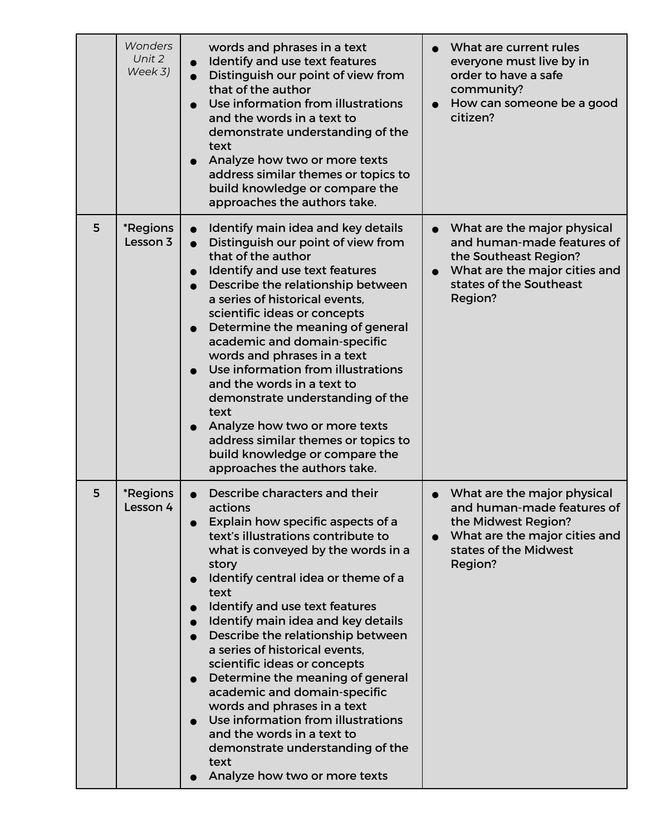|   | <b>Wonders</b><br>Unit 2<br>Week 3) | words and phrases in a text<br>Identify and use text features<br>$\bullet$<br>Distinguish our point of view from<br>$\bullet$<br>that of the author<br>Use information from illustrations<br>and the words in a text to<br>demonstrate understanding of the<br>text<br>Analyze how two or more texts<br>address similar themes or topics to<br>build knowledge or compare the<br>approaches the authors take.                                                                                                                                                                                                                                                                                                                      | What are current rules<br>everyone must live by in<br>order to have a safe<br>community?<br>How can someone be a good<br>$\bullet$<br>citizen?                         |
|---|-------------------------------------|------------------------------------------------------------------------------------------------------------------------------------------------------------------------------------------------------------------------------------------------------------------------------------------------------------------------------------------------------------------------------------------------------------------------------------------------------------------------------------------------------------------------------------------------------------------------------------------------------------------------------------------------------------------------------------------------------------------------------------|------------------------------------------------------------------------------------------------------------------------------------------------------------------------|
| 5 | *Regions<br>Lesson 3                | Identify main idea and key details<br>Distinguish our point of view from<br>that of the author<br>Identify and use text features<br>$\bullet$<br>Describe the relationship between<br>$\bullet$<br>a series of historical events.<br>scientific ideas or concepts<br>Determine the meaning of general<br>$\bullet$<br>academic and domain-specific<br>words and phrases in a text<br>Use information from illustrations<br>and the words in a text to<br>demonstrate understanding of the<br>text<br>Analyze how two or more texts<br>address similar themes or topics to<br>build knowledge or compare the<br>approaches the authors take.                                                                                        | What are the major physical<br>and human-made features of<br>the Southeast Region?<br>What are the major cities and<br>$\bullet$<br>states of the Southeast<br>Region? |
| 5 | *Regions<br>Lesson 4                | Describe characters and their<br>actions<br>Explain how specific aspects of a<br>$\bullet$<br>text's illustrations contribute to<br>what is conveyed by the words in a<br>story<br>Identify central idea or theme of a<br>$\bullet$<br>text<br>Identify and use text features<br>$\bullet$<br>Identify main idea and key details<br>$\bullet$<br>Describe the relationship between<br>a series of historical events,<br>scientific ideas or concepts<br>Determine the meaning of general<br>$\bullet$<br>academic and domain-specific<br>words and phrases in a text<br>Use information from illustrations<br>$\bullet$<br>and the words in a text to<br>demonstrate understanding of the<br>text<br>Analyze how two or more texts | What are the major physical<br>and human-made features of<br>the Midwest Region?<br>What are the major cities and<br>$\bullet$<br>states of the Midwest<br>Region?     |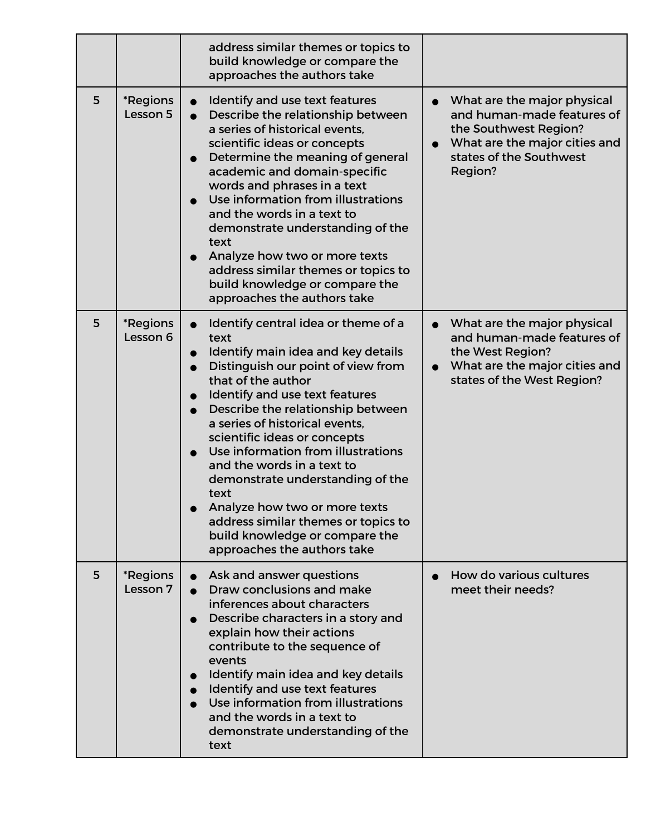|   |                                    | address similar themes or topics to<br>build knowledge or compare the<br>approaches the authors take                                                                                                                                                                                                                                                                                                                                                                                                                                            |                                                                                                                                                                                     |
|---|------------------------------------|-------------------------------------------------------------------------------------------------------------------------------------------------------------------------------------------------------------------------------------------------------------------------------------------------------------------------------------------------------------------------------------------------------------------------------------------------------------------------------------------------------------------------------------------------|-------------------------------------------------------------------------------------------------------------------------------------------------------------------------------------|
| 5 | *Regions<br>Lesson 5               | Identify and use text features<br>Describe the relationship between<br>a series of historical events,<br>scientific ideas or concepts<br>Determine the meaning of general<br>academic and domain-specific<br>words and phrases in a text<br>Use information from illustrations<br>and the words in a text to<br>demonstrate understanding of the<br>text<br>Analyze how two or more texts<br>address similar themes or topics to<br>build knowledge or compare the<br>approaches the authors take                                               | What are the major physical<br>$\bullet$<br>and human-made features of<br>the Southwest Region?<br>What are the major cities and<br>$\bullet$<br>states of the Southwest<br>Region? |
| 5 | <i><b>*Regions</b></i><br>Lesson 6 | Identify central idea or theme of a<br>text<br>Identify main idea and key details<br>Distinguish our point of view from<br>that of the author<br>Identify and use text features<br>Describe the relationship between<br>a series of historical events,<br>scientific ideas or concepts<br>Use information from illustrations<br>and the words in a text to<br>demonstrate understanding of the<br>text<br>Analyze how two or more texts<br>address similar themes or topics to<br>build knowledge or compare the<br>approaches the authors take | What are the major physical<br>$\bullet$<br>and human-made features of<br>the West Region?<br>What are the major cities and<br>$\bullet$<br>states of the West Region?              |
| 5 | *Regions<br>Lesson 7               | Ask and answer questions<br>Draw conclusions and make<br>inferences about characters<br>Describe characters in a story and<br>explain how their actions<br>contribute to the sequence of<br>events<br>Identify main idea and key details<br>Identify and use text features<br>Use information from illustrations<br>and the words in a text to<br>demonstrate understanding of the<br>text                                                                                                                                                      | How do various cultures<br>meet their needs?                                                                                                                                        |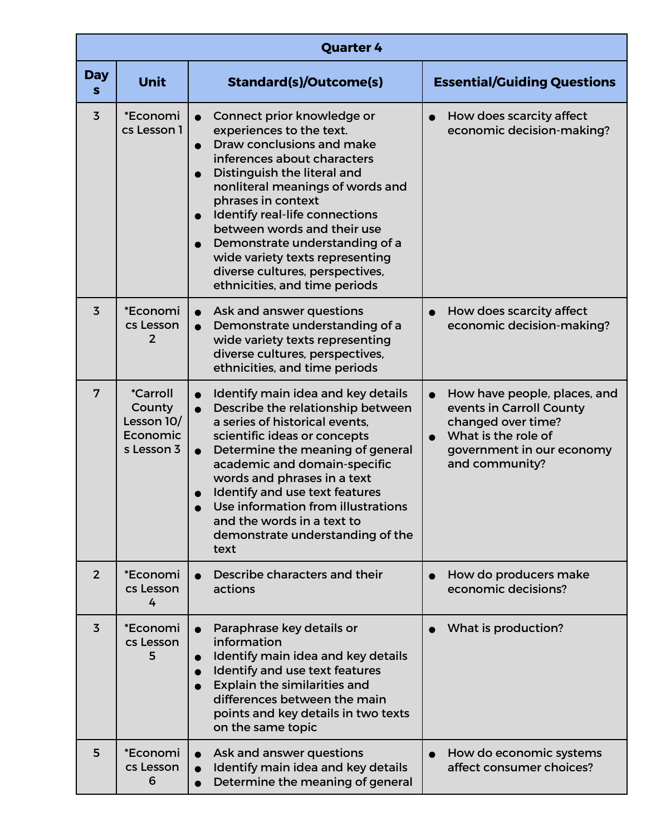| <b>Quarter 4</b> |                                                                          |                                                                                                                                                                                                                                                                                                                                                                                                                                                                           |                                                                                                                                                      |
|------------------|--------------------------------------------------------------------------|---------------------------------------------------------------------------------------------------------------------------------------------------------------------------------------------------------------------------------------------------------------------------------------------------------------------------------------------------------------------------------------------------------------------------------------------------------------------------|------------------------------------------------------------------------------------------------------------------------------------------------------|
| <b>Day</b><br>S  | <b>Unit</b>                                                              | <b>Standard(s)/Outcome(s)</b>                                                                                                                                                                                                                                                                                                                                                                                                                                             | <b>Essential/Guiding Questions</b>                                                                                                                   |
| $\overline{3}$   | *Economi<br>cs Lesson 1                                                  | Connect prior knowledge or<br>$\bullet$<br>experiences to the text.<br>Draw conclusions and make<br>inferences about characters<br>Distinguish the literal and<br>$\bullet$<br>nonliteral meanings of words and<br>phrases in context<br>Identify real-life connections<br>$\bullet$<br>between words and their use<br>Demonstrate understanding of a<br>$\bullet$<br>wide variety texts representing<br>diverse cultures, perspectives,<br>ethnicities, and time periods | How does scarcity affect<br>economic decision-making?                                                                                                |
| $\overline{3}$   | *Economi<br>cs Lesson<br>$\overline{2}$                                  | Ask and answer questions<br>$\bullet$<br>Demonstrate understanding of a<br>$\bullet$<br>wide variety texts representing<br>diverse cultures, perspectives,<br>ethnicities, and time periods                                                                                                                                                                                                                                                                               | How does scarcity affect<br>economic decision-making?                                                                                                |
| 7                | <i><b>*Carroll</b></i><br>County<br>Lesson 10/<br>Economic<br>s Lesson 3 | Identify main idea and key details<br>$\bullet$<br>Describe the relationship between<br>$\bullet$<br>a series of historical events,<br>scientific ideas or concepts<br>Determine the meaning of general<br>$\bullet$<br>academic and domain-specific<br>words and phrases in a text<br>Identify and use text features<br>Use information from illustrations<br>and the words in a text to<br>demonstrate understanding of the<br>text                                     | How have people, places, and<br>events in Carroll County<br>changed over time?<br>What is the role of<br>government in our economy<br>and community? |
| 2 <sup>2</sup>   | *Economi<br>cs Lesson<br>4                                               | Describe characters and their<br>actions                                                                                                                                                                                                                                                                                                                                                                                                                                  | How do producers make<br>economic decisions?                                                                                                         |
| $\overline{3}$   | *Economi<br>cs Lesson<br>5                                               | Paraphrase key details or<br>$\bullet$<br>information<br>Identify main idea and key details<br>$\bullet$<br>Identify and use text features<br>$\bullet$<br><b>Explain the similarities and</b><br>$\bullet$<br>differences between the main<br>points and key details in two texts<br>on the same topic                                                                                                                                                                   | What is production?                                                                                                                                  |
| 5                | *Economi<br>cs Lesson<br>6                                               | Ask and answer questions<br>Identify main idea and key details<br>$\bullet$<br>Determine the meaning of general                                                                                                                                                                                                                                                                                                                                                           | How do economic systems<br>affect consumer choices?                                                                                                  |